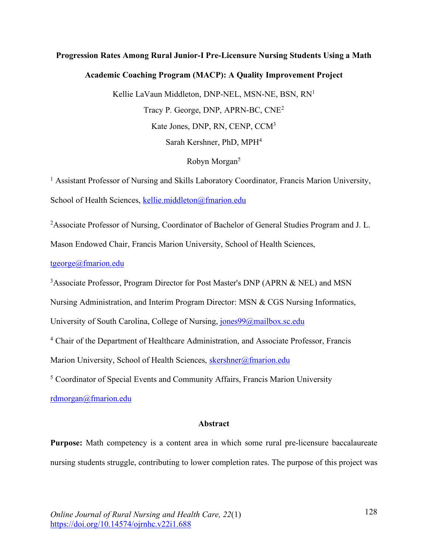# **Progression Rates Among Rural Junior-I Pre-Licensure Nursing Students Using a Math**

### **Academic Coaching Program (MACP): A Quality Improvement Project**

Kellie LaVaun Middleton, DNP-NEL, MSN-NE, BSN, RN1 Tracy P. George, DNP, APRN-BC, CNE2 Kate Jones, DNP, RN, CENP, CCM3 Sarah Kershner, PhD, MPH4

## Robyn Morgan<sup>5</sup>

<sup>1</sup> Assistant Professor of Nursing and Skills Laboratory Coordinator, Francis Marion University, School of Health Sciences, kellie.middleton@fmarion.edu

<sup>2</sup> Associate Professor of Nursing, Coordinator of Bachelor of General Studies Program and J. L.

Mason Endowed Chair, Francis Marion University, School of Health Sciences,

tgeorge@fmarion.edu

<sup>3</sup> Associate Professor, Program Director for Post Master's DNP (APRN & NEL) and MSN

Nursing Administration, and Interim Program Director: MSN & CGS Nursing Informatics,

University of South Carolina, College of Nursing, jones99@mailbox.sc.edu

<sup>4</sup> Chair of the Department of Healthcare Administration, and Associate Professor, Francis

Marion University, School of Health Sciences, skershner@fmarion.edu

<sup>5</sup> Coordinator of Special Events and Community Affairs, Francis Marion University

rdmorgan@fmarion.edu

## **Abstract**

**Purpose:** Math competency is a content area in which some rural pre-licensure baccalaureate nursing students struggle, contributing to lower completion rates. The purpose of this project was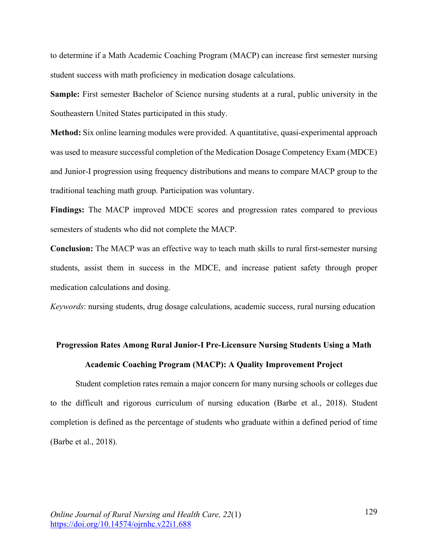to determine if a Math Academic Coaching Program (MACP) can increase first semester nursing student success with math proficiency in medication dosage calculations.

**Sample:** First semester Bachelor of Science nursing students at a rural, public university in the Southeastern United States participated in this study.

**Method:** Six online learning modules were provided. A quantitative, quasi-experimental approach was used to measure successful completion of the Medication Dosage Competency Exam (MDCE) and Junior-I progression using frequency distributions and means to compare MACP group to the traditional teaching math group. Participation was voluntary.

**Findings:** The MACP improved MDCE scores and progression rates compared to previous semesters of students who did not complete the MACP.

**Conclusion:** The MACP was an effective way to teach math skills to rural first-semester nursing students, assist them in success in the MDCE, and increase patient safety through proper medication calculations and dosing.

*Keywords*: nursing students, drug dosage calculations, academic success, rural nursing education

## **Progression Rates Among Rural Junior-I Pre-Licensure Nursing Students Using a Math Academic Coaching Program (MACP): A Quality Improvement Project**

Student completion rates remain a major concern for many nursing schools or colleges due to the difficult and rigorous curriculum of nursing education (Barbe et al., 2018). Student completion is defined as the percentage of students who graduate within a defined period of time (Barbe et al., 2018).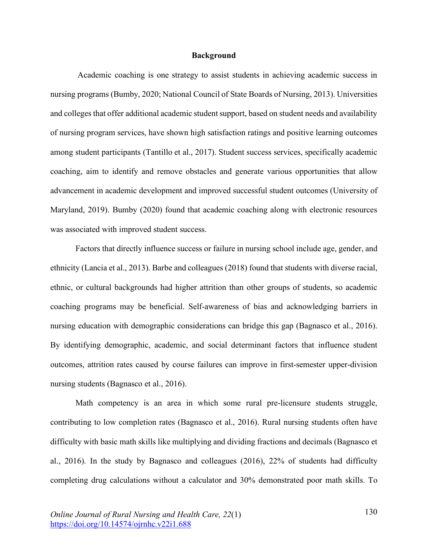#### **Background**

Academic coaching is one strategy to assist students in achieving academic success in nursing programs (Bumby, 2020; National Council of State Boards of Nursing, 2013). Universities and colleges that offer additional academic student support, based on student needs and availability of nursing program services, have shown high satisfaction ratings and positive learning outcomes among student participants (Tantillo et al., 2017). Student success services, specifically academic coaching, aim to identify and remove obstacles and generate various opportunities that allow advancement in academic development and improved successful student outcomes (University of Maryland, 2019). Bumby (2020) found that academic coaching along with electronic resources was associated with improved student success.

Factors that directly influence success or failure in nursing school include age, gender, and ethnicity (Lancia et al., 2013). Barbe and colleagues (2018) found that students with diverse racial, ethnic, or cultural backgrounds had higher attrition than other groups of students, so academic coaching programs may be beneficial. Self-awareness of bias and acknowledging barriers in nursing education with demographic considerations can bridge this gap (Bagnasco et al., 2016). By identifying demographic, academic, and social determinant factors that influence student outcomes, attrition rates caused by course failures can improve in first-semester upper-division nursing students (Bagnasco et al., 2016).

Math competency is an area in which some rural pre-licensure students struggle, contributing to low completion rates (Bagnasco et al., 2016). Rural nursing students often have difficulty with basic math skills like multiplying and dividing fractions and decimals (Bagnasco et al., 2016). In the study by Bagnasco and colleagues (2016), 22% of students had difficulty completing drug calculations without a calculator and 30% demonstrated poor math skills. To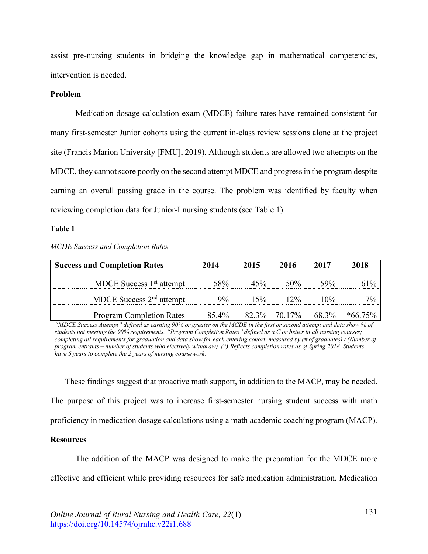assist pre-nursing students in bridging the knowledge gap in mathematical competencies, intervention is needed.

#### **Problem**

Medication dosage calculation exam (MDCE) failure rates have remained consistent for many first-semester Junior cohorts using the current in-class review sessions alone at the project site (Francis Marion University [FMU], 2019). Although students are allowed two attempts on the MDCE, they cannot score poorly on the second attempt MDCE and progress in the program despite earning an overall passing grade in the course. The problem was identified by faculty when reviewing completion data for Junior-I nursing students (see Table 1).

#### **Table 1**

| <b>Success and Completion Rates</b> | 2014  | 2015 | 2016   | 2017   | 2018 |
|-------------------------------------|-------|------|--------|--------|------|
| MDCE Success $1st$ attempt          | 58%   | 45%  | 50%    | 59%    | 61%  |
| MDCE Success $2nd$ attempt          | $9\%$ | 15%  | $12\%$ | $10\%$ | 7%   |

*MCDE Success and Completion Rates*

*"MDCE Success Attempt" defined as earning 90% or greater on the MCDE in the first or second attempt and data show % of students not meeting the 90% requirements. "Program Completion Rates" defined as a C or better in all nursing courses; completing all requirements for graduation and data show for each entering cohort, measured by (# of graduates) / (Number of program entrants – number of students who electively withdraw). (\*) Reflects completion rates as of Spring 2018. Students have 5 years to complete the 2 years of nursing coursework.* 

Program Completion Rates 85.4% 82.3% 70.17% 68.3% \*66.75%

These findings suggest that proactive math support, in addition to the MACP, may be needed. The purpose of this project was to increase first-semester nursing student success with math proficiency in medication dosage calculations using a math academic coaching program (MACP).

#### **Resources**

The addition of the MACP was designed to make the preparation for the MDCE more effective and efficient while providing resources for safe medication administration. Medication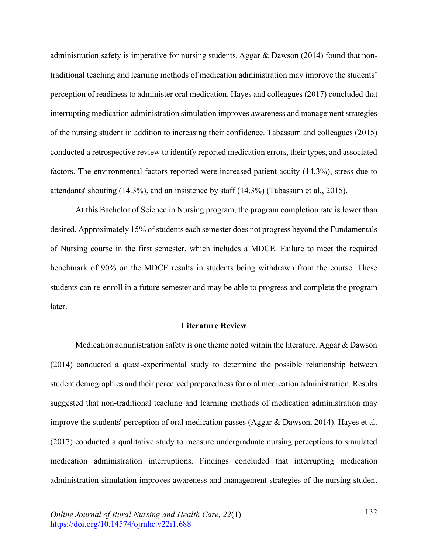administration safety is imperative for nursing students. Aggar & Dawson (2014) found that nontraditional teaching and learning methods of medication administration may improve the students' perception of readiness to administer oral medication. Hayes and colleagues (2017) concluded that interrupting medication administration simulation improves awareness and management strategies of the nursing student in addition to increasing their confidence. Tabassum and colleagues (2015) conducted a retrospective review to identify reported medication errors, their types, and associated factors. The environmental factors reported were increased patient acuity (14.3%), stress due to attendants' shouting (14.3%), and an insistence by staff (14.3%) (Tabassum et al., 2015).

At this Bachelor of Science in Nursing program, the program completion rate is lower than desired. Approximately 15% of students each semester does not progress beyond the Fundamentals of Nursing course in the first semester, which includes a MDCE. Failure to meet the required benchmark of 90% on the MDCE results in students being withdrawn from the course. These students can re-enroll in a future semester and may be able to progress and complete the program later.

#### **Literature Review**

Medication administration safety is one theme noted within the literature. Aggar & Dawson (2014) conducted a quasi-experimental study to determine the possible relationship between student demographics and their perceived preparedness for oral medication administration. Results suggested that non-traditional teaching and learning methods of medication administration may improve the students' perception of oral medication passes (Aggar & Dawson, 2014). Hayes et al. (2017) conducted a qualitative study to measure undergraduate nursing perceptions to simulated medication administration interruptions. Findings concluded that interrupting medication administration simulation improves awareness and management strategies of the nursing student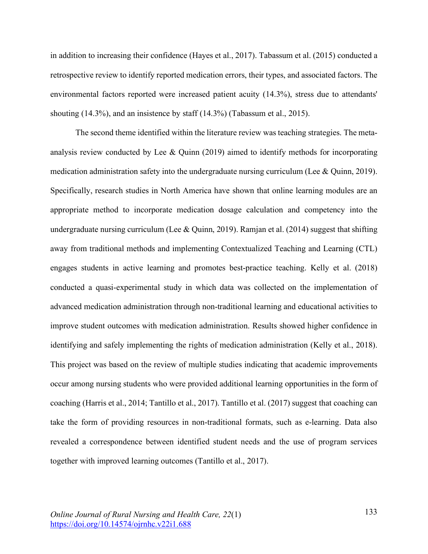in addition to increasing their confidence (Hayes et al., 2017). Tabassum et al. (2015) conducted a retrospective review to identify reported medication errors, their types, and associated factors. The environmental factors reported were increased patient acuity (14.3%), stress due to attendants' shouting (14.3%), and an insistence by staff (14.3%) (Tabassum et al., 2015).

The second theme identified within the literature review was teaching strategies. The metaanalysis review conducted by Lee & Quinn (2019) aimed to identify methods for incorporating medication administration safety into the undergraduate nursing curriculum (Lee  $\&$  Quinn, 2019). Specifically, research studies in North America have shown that online learning modules are an appropriate method to incorporate medication dosage calculation and competency into the undergraduate nursing curriculum (Lee & Quinn, 2019). Ramjan et al. (2014) suggest that shifting away from traditional methods and implementing Contextualized Teaching and Learning (CTL) engages students in active learning and promotes best-practice teaching. Kelly et al. (2018) conducted a quasi-experimental study in which data was collected on the implementation of advanced medication administration through non-traditional learning and educational activities to improve student outcomes with medication administration. Results showed higher confidence in identifying and safely implementing the rights of medication administration (Kelly et al., 2018). This project was based on the review of multiple studies indicating that academic improvements occur among nursing students who were provided additional learning opportunities in the form of coaching (Harris et al., 2014; Tantillo et al., 2017). Tantillo et al. (2017) suggest that coaching can take the form of providing resources in non-traditional formats, such as e-learning. Data also revealed a correspondence between identified student needs and the use of program services together with improved learning outcomes (Tantillo et al., 2017).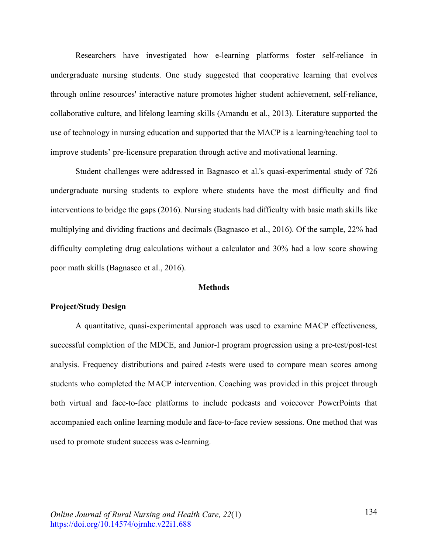Researchers have investigated how e-learning platforms foster self-reliance in undergraduate nursing students. One study suggested that cooperative learning that evolves through online resources' interactive nature promotes higher student achievement, self-reliance, collaborative culture, and lifelong learning skills (Amandu et al., 2013). Literature supported the use of technology in nursing education and supported that the MACP is a learning/teaching tool to improve students' pre-licensure preparation through active and motivational learning.

Student challenges were addressed in Bagnasco et al.'s quasi-experimental study of 726 undergraduate nursing students to explore where students have the most difficulty and find interventions to bridge the gaps (2016). Nursing students had difficulty with basic math skills like multiplying and dividing fractions and decimals (Bagnasco et al., 2016). Of the sample, 22% had difficulty completing drug calculations without a calculator and 30% had a low score showing poor math skills (Bagnasco et al., 2016).

#### **Methods**

#### **Project/Study Design**

A quantitative, quasi-experimental approach was used to examine MACP effectiveness, successful completion of the MDCE, and Junior-I program progression using a pre-test/post-test analysis. Frequency distributions and paired *t*-tests were used to compare mean scores among students who completed the MACP intervention. Coaching was provided in this project through both virtual and face-to-face platforms to include podcasts and voiceover PowerPoints that accompanied each online learning module and face-to-face review sessions. One method that was used to promote student success was e-learning.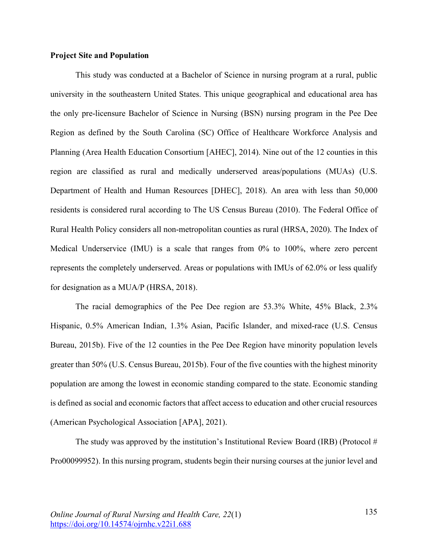#### **Project Site and Population**

This study was conducted at a Bachelor of Science in nursing program at a rural, public university in the southeastern United States. This unique geographical and educational area has the only pre-licensure Bachelor of Science in Nursing (BSN) nursing program in the Pee Dee Region as defined by the South Carolina (SC) Office of Healthcare Workforce Analysis and Planning (Area Health Education Consortium [AHEC], 2014). Nine out of the 12 counties in this region are classified as rural and medically underserved areas/populations (MUAs) (U.S. Department of Health and Human Resources [DHEC], 2018). An area with less than 50,000 residents is considered rural according to The US Census Bureau (2010). The Federal Office of Rural Health Policy considers all non-metropolitan counties as rural (HRSA, 2020). The Index of Medical Underservice (IMU) is a scale that ranges from 0% to 100%, where zero percent represents the completely underserved. Areas or populations with IMUs of 62.0% or less qualify for designation as a MUA/P (HRSA, 2018).

The racial demographics of the Pee Dee region are 53.3% White, 45% Black, 2.3% Hispanic, 0.5% American Indian, 1.3% Asian, Pacific Islander, and mixed-race (U.S. Census Bureau, 2015b). Five of the 12 counties in the Pee Dee Region have minority population levels greater than 50% (U.S. Census Bureau, 2015b). Four of the five counties with the highest minority population are among the lowest in economic standing compared to the state. Economic standing is defined as social and economic factors that affect access to education and other crucial resources (American Psychological Association [APA], 2021).

The study was approved by the institution's Institutional Review Board (IRB) (Protocol  $#$ Pro00099952). In this nursing program, students begin their nursing courses at the junior level and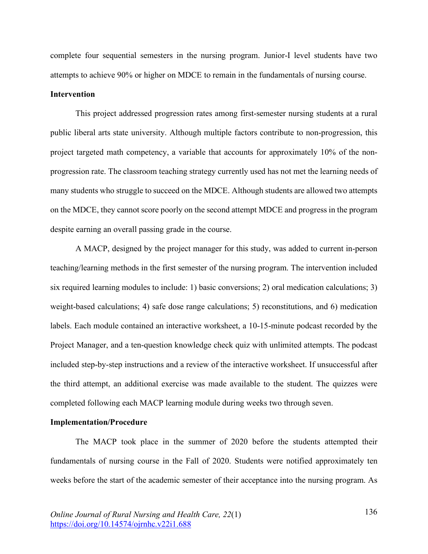complete four sequential semesters in the nursing program. Junior-I level students have two attempts to achieve 90% or higher on MDCE to remain in the fundamentals of nursing course.

#### **Intervention**

This project addressed progression rates among first-semester nursing students at a rural public liberal arts state university. Although multiple factors contribute to non-progression, this project targeted math competency, a variable that accounts for approximately 10% of the nonprogression rate. The classroom teaching strategy currently used has not met the learning needs of many students who struggle to succeed on the MDCE. Although students are allowed two attempts on the MDCE, they cannot score poorly on the second attempt MDCE and progress in the program despite earning an overall passing grade in the course.

A MACP, designed by the project manager for this study, was added to current in-person teaching/learning methods in the first semester of the nursing program. The intervention included six required learning modules to include: 1) basic conversions; 2) oral medication calculations; 3) weight-based calculations; 4) safe dose range calculations; 5) reconstitutions, and 6) medication labels. Each module contained an interactive worksheet, a 10-15-minute podcast recorded by the Project Manager, and a ten-question knowledge check quiz with unlimited attempts. The podcast included step-by-step instructions and a review of the interactive worksheet. If unsuccessful after the third attempt, an additional exercise was made available to the student. The quizzes were completed following each MACP learning module during weeks two through seven.

#### **Implementation/Procedure**

The MACP took place in the summer of 2020 before the students attempted their fundamentals of nursing course in the Fall of 2020. Students were notified approximately ten weeks before the start of the academic semester of their acceptance into the nursing program. As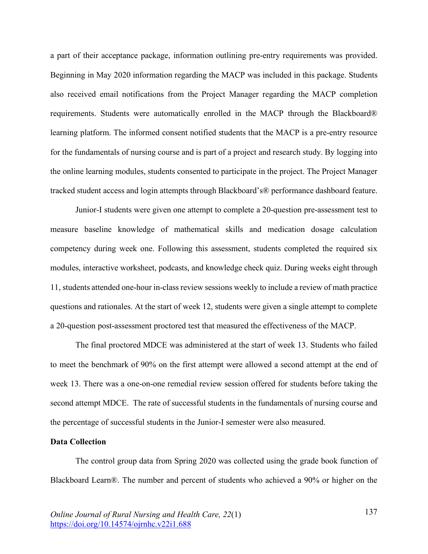a part of their acceptance package, information outlining pre-entry requirements was provided. Beginning in May 2020 information regarding the MACP was included in this package. Students also received email notifications from the Project Manager regarding the MACP completion requirements. Students were automatically enrolled in the MACP through the Blackboard® learning platform. The informed consent notified students that the MACP is a pre-entry resource for the fundamentals of nursing course and is part of a project and research study. By logging into the online learning modules, students consented to participate in the project. The Project Manager tracked student access and login attempts through Blackboard's® performance dashboard feature.

Junior-I students were given one attempt to complete a 20-question pre-assessment test to measure baseline knowledge of mathematical skills and medication dosage calculation competency during week one. Following this assessment, students completed the required six modules, interactive worksheet, podcasts, and knowledge check quiz. During weeks eight through 11, students attended one-hour in-class review sessions weekly to include a review of math practice questions and rationales. At the start of week 12, students were given a single attempt to complete a 20-question post-assessment proctored test that measured the effectiveness of the MACP.

The final proctored MDCE was administered at the start of week 13. Students who failed to meet the benchmark of 90% on the first attempt were allowed a second attempt at the end of week 13. There was a one-on-one remedial review session offered for students before taking the second attempt MDCE. The rate of successful students in the fundamentals of nursing course and the percentage of successful students in the Junior-I semester were also measured.

#### **Data Collection**

The control group data from Spring 2020 was collected using the grade book function of Blackboard Learn®. The number and percent of students who achieved a 90% or higher on the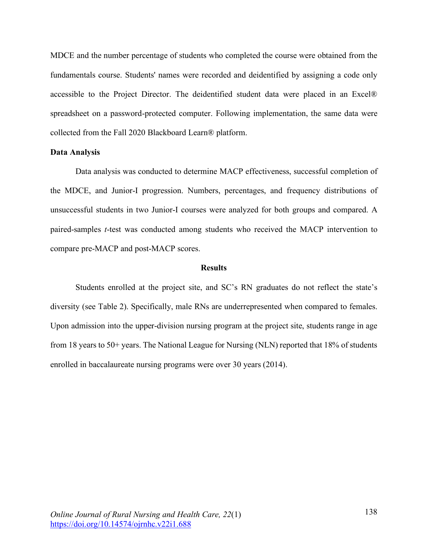MDCE and the number percentage of students who completed the course were obtained from the fundamentals course. Students' names were recorded and deidentified by assigning a code only accessible to the Project Director. The deidentified student data were placed in an Excel® spreadsheet on a password-protected computer. Following implementation, the same data were collected from the Fall 2020 Blackboard Learn® platform.

#### **Data Analysis**

Data analysis was conducted to determine MACP effectiveness, successful completion of the MDCE, and Junior-I progression. Numbers, percentages, and frequency distributions of unsuccessful students in two Junior-I courses were analyzed for both groups and compared. A paired-samples *t*-test was conducted among students who received the MACP intervention to compare pre-MACP and post-MACP scores.

#### **Results**

Students enrolled at the project site, and SC's RN graduates do not reflect the state's diversity (see Table 2). Specifically, male RNs are underrepresented when compared to females. Upon admission into the upper-division nursing program at the project site, students range in age from 18 years to 50+ years. The National League for Nursing (NLN) reported that 18% of students enrolled in baccalaureate nursing programs were over 30 years (2014).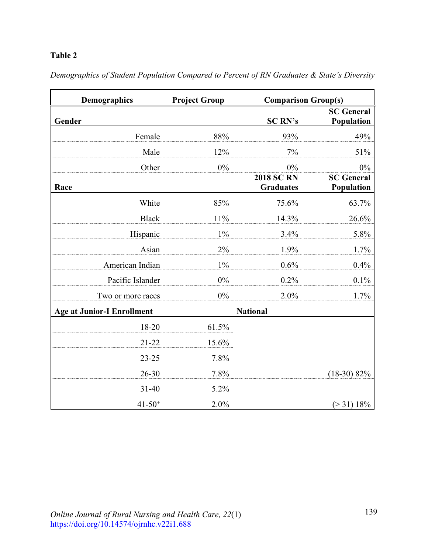## **Table 2**

| <b>Demographics</b>               | <b>Project Group</b> | <b>Comparison Group(s)</b>            |                                 |  |
|-----------------------------------|----------------------|---------------------------------------|---------------------------------|--|
| Gender                            |                      | <b>SC RN's</b>                        | <b>SC</b> General<br>Population |  |
| Female                            | 88%                  | 93%                                   | 49%                             |  |
| Male                              | 12%                  | 7%                                    | 51%                             |  |
| Other                             | $0\%$                | $0\%$                                 | $0\%$                           |  |
| Race                              |                      | <b>2018 SC RN</b><br><b>Graduates</b> | <b>SC</b> General<br>Population |  |
| White                             | 85%                  | 75.6%                                 | 63.7%                           |  |
| <b>Black</b>                      | 11%                  | 14.3%                                 | 26.6%                           |  |
| Hispanic                          | $1\%$                | 3.4%                                  | 5.8%                            |  |
| Asian                             | 2%                   | 1.9%                                  | 1.7%                            |  |
| American Indian                   | $1\%$                | 0.6%                                  | 0.4%                            |  |
| Pacific Islander                  | $0\%$                | 0.2%                                  | 0.1%                            |  |
| Two or more races                 | $0\%$                | 2.0%                                  | 1.7%                            |  |
| <b>Age at Junior-I Enrollment</b> |                      | <b>National</b>                       |                                 |  |
| 18-20                             | 61.5%                |                                       |                                 |  |
| 21-22                             | 15.6%                |                                       |                                 |  |
| $23 - 25$                         | 7.8%                 |                                       |                                 |  |
| $26 - 30$                         | 7.8%                 |                                       | $(18-30) 82%$                   |  |
| $31 - 40$                         | 5.2%                 |                                       |                                 |  |
| $41 - 50^{+}$                     | 2.0%                 |                                       | $(>31) 18\%$                    |  |

*Demographics of Student Population Compared to Percent of RN Graduates & State's Diversity*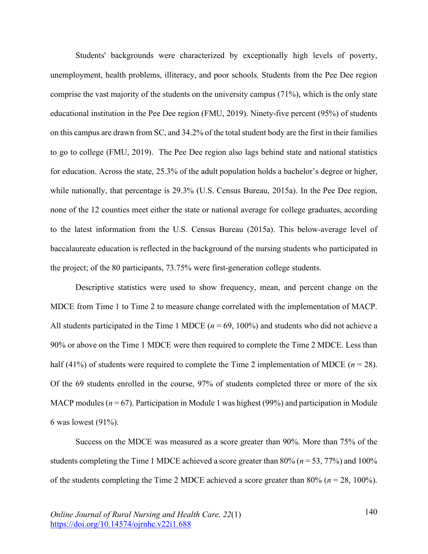Students' backgrounds were characterized by exceptionally high levels of poverty, unemployment, health problems, illiteracy, and poor schools. Students from the Pee Dee region comprise the vast majority of the students on the university campus (71%), which is the only state educational institution in the Pee Dee region (FMU, 2019). Ninety-five percent (95%) of students on this campus are drawn from SC, and 34.2% of the total student body are the first in their families to go to college (FMU, 2019). The Pee Dee region also lags behind state and national statistics for education. Across the state, 25.3% of the adult population holds a bachelor's degree or higher, while nationally, that percentage is 29.3% (U.S. Census Bureau, 2015a). In the Pee Dee region, none of the 12 counties meet either the state or national average for college graduates, according to the latest information from the U.S. Census Bureau (2015a). This below-average level of baccalaureate education is reflected in the background of the nursing students who participated in the project; of the 80 participants, 73.75% were first-generation college students.

Descriptive statistics were used to show frequency, mean, and percent change on the MDCE from Time 1 to Time 2 to measure change correlated with the implementation of MACP. All students participated in the Time 1 MDCE ( $n = 69$ , 100%) and students who did not achieve a 90% or above on the Time 1 MDCE were then required to complete the Time 2 MDCE. Less than half (41%) of students were required to complete the Time 2 implementation of MDCE ( $n = 28$ ). Of the 69 students enrolled in the course, 97% of students completed three or more of the six MACP modules ( $n = 67$ ). Participation in Module 1 was highest (99%) and participation in Module 6 was lowest (91%).

Success on the MDCE was measured as a score greater than 90%. More than 75% of the students completing the Time 1 MDCE achieved a score greater than 80% (*n* = 53, 77%) and 100% of the students completing the Time 2 MDCE achieved a score greater than 80% (*n* = 28, 100%).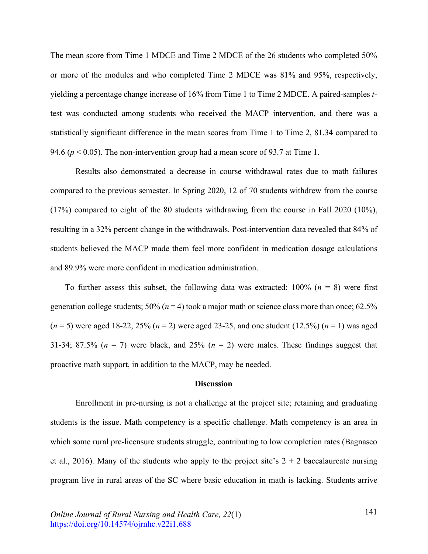The mean score from Time 1 MDCE and Time 2 MDCE of the 26 students who completed 50% or more of the modules and who completed Time 2 MDCE was 81% and 95%, respectively, yielding a percentage change increase of 16% from Time 1 to Time 2 MDCE. A paired-samples *t*test was conducted among students who received the MACP intervention, and there was a statistically significant difference in the mean scores from Time 1 to Time 2, 81.34 compared to 94.6 ( $p < 0.05$ ). The non-intervention group had a mean score of 93.7 at Time 1.

Results also demonstrated a decrease in course withdrawal rates due to math failures compared to the previous semester. In Spring 2020, 12 of 70 students withdrew from the course (17%) compared to eight of the 80 students withdrawing from the course in Fall 2020 (10%), resulting in a 32% percent change in the withdrawals. Post-intervention data revealed that 84% of students believed the MACP made them feel more confident in medication dosage calculations and 89.9% were more confident in medication administration.

To further assess this subset, the following data was extracted:  $100\%$  ( $n = 8$ ) were first generation college students;  $50\%$  ( $n = 4$ ) took a major math or science class more than once;  $62.5\%$ (*n* = 5) were aged 18-22, 25% (*n* = 2) were aged 23-25, and one student (12.5%) (*n* = 1) was aged 31-34; 87.5%  $(n = 7)$  were black, and 25%  $(n = 2)$  were males. These findings suggest that proactive math support, in addition to the MACP, may be needed.

#### **Discussion**

Enrollment in pre-nursing is not a challenge at the project site; retaining and graduating students is the issue. Math competency is a specific challenge. Math competency is an area in which some rural pre-licensure students struggle, contributing to low completion rates (Bagnasco et al., 2016). Many of the students who apply to the project site's  $2 + 2$  baccalaureate nursing program live in rural areas of the SC where basic education in math is lacking. Students arrive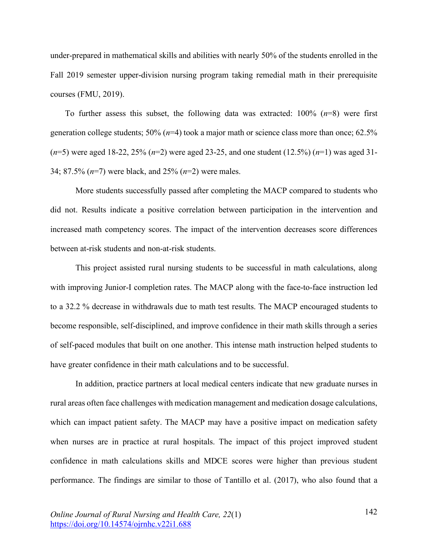under-prepared in mathematical skills and abilities with nearly 50% of the students enrolled in the Fall 2019 semester upper-division nursing program taking remedial math in their prerequisite courses (FMU, 2019).

To further assess this subset, the following data was extracted: 100% (*n*=8) were first generation college students; 50% (*n*=4) took a major math or science class more than once; 62.5% (*n*=5) were aged 18-22, 25% (*n*=2) were aged 23-25, and one student (12.5%) (*n*=1) was aged 31- 34; 87.5% (*n*=7) were black, and 25% (*n*=2) were males.

More students successfully passed after completing the MACP compared to students who did not. Results indicate a positive correlation between participation in the intervention and increased math competency scores. The impact of the intervention decreases score differences between at-risk students and non-at-risk students.

This project assisted rural nursing students to be successful in math calculations, along with improving Junior-I completion rates. The MACP along with the face-to-face instruction led to a 32.2 % decrease in withdrawals due to math test results. The MACP encouraged students to become responsible, self-disciplined, and improve confidence in their math skills through a series of self-paced modules that built on one another. This intense math instruction helped students to have greater confidence in their math calculations and to be successful.

In addition, practice partners at local medical centers indicate that new graduate nurses in rural areas often face challenges with medication management and medication dosage calculations, which can impact patient safety. The MACP may have a positive impact on medication safety when nurses are in practice at rural hospitals. The impact of this project improved student confidence in math calculations skills and MDCE scores were higher than previous student performance. The findings are similar to those of Tantillo et al. (2017), who also found that a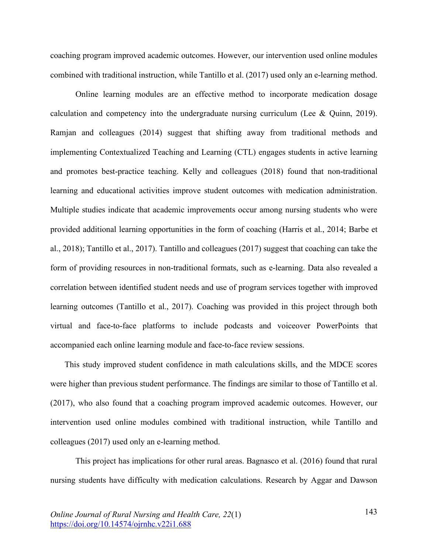coaching program improved academic outcomes. However, our intervention used online modules combined with traditional instruction, while Tantillo et al. (2017) used only an e-learning method.

Online learning modules are an effective method to incorporate medication dosage calculation and competency into the undergraduate nursing curriculum (Lee & Quinn, 2019). Ramjan and colleagues (2014) suggest that shifting away from traditional methods and implementing Contextualized Teaching and Learning (CTL) engages students in active learning and promotes best-practice teaching. Kelly and colleagues (2018) found that non-traditional learning and educational activities improve student outcomes with medication administration. Multiple studies indicate that academic improvements occur among nursing students who were provided additional learning opportunities in the form of coaching (Harris et al., 2014; Barbe et al., 2018); Tantillo et al., 2017). Tantillo and colleagues (2017) suggest that coaching can take the form of providing resources in non-traditional formats, such as e-learning. Data also revealed a correlation between identified student needs and use of program services together with improved learning outcomes (Tantillo et al., 2017). Coaching was provided in this project through both virtual and face-to-face platforms to include podcasts and voiceover PowerPoints that accompanied each online learning module and face-to-face review sessions.

This study improved student confidence in math calculations skills, and the MDCE scores were higher than previous student performance. The findings are similar to those of Tantillo et al. (2017), who also found that a coaching program improved academic outcomes. However, our intervention used online modules combined with traditional instruction, while Tantillo and colleagues (2017) used only an e-learning method.

This project has implications for other rural areas. Bagnasco et al. (2016) found that rural nursing students have difficulty with medication calculations. Research by Aggar and Dawson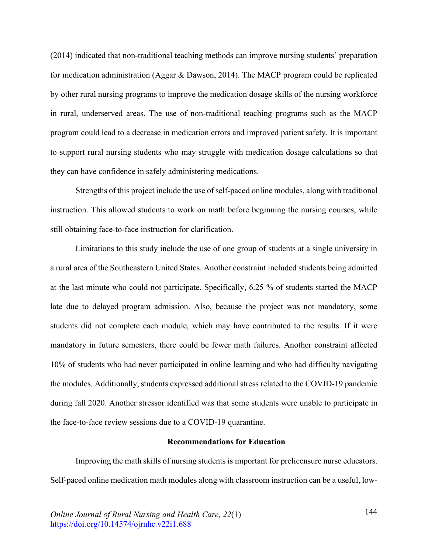(2014) indicated that non-traditional teaching methods can improve nursing students' preparation for medication administration (Aggar & Dawson, 2014). The MACP program could be replicated by other rural nursing programs to improve the medication dosage skills of the nursing workforce in rural, underserved areas. The use of non-traditional teaching programs such as the MACP program could lead to a decrease in medication errors and improved patient safety. It is important to support rural nursing students who may struggle with medication dosage calculations so that they can have confidence in safely administering medications.

Strengths of this project include the use of self-paced online modules, along with traditional instruction. This allowed students to work on math before beginning the nursing courses, while still obtaining face-to-face instruction for clarification.

Limitations to this study include the use of one group of students at a single university in a rural area of the Southeastern United States. Another constraint included students being admitted at the last minute who could not participate. Specifically, 6.25 % of students started the MACP late due to delayed program admission. Also, because the project was not mandatory, some students did not complete each module, which may have contributed to the results. If it were mandatory in future semesters, there could be fewer math failures. Another constraint affected 10% of students who had never participated in online learning and who had difficulty navigating the modules. Additionally, students expressed additional stress related to the COVID-19 pandemic during fall 2020. Another stressor identified was that some students were unable to participate in the face-to-face review sessions due to a COVID-19 quarantine.

#### **Recommendations for Education**

Improving the math skills of nursing students is important for prelicensure nurse educators. Self-paced online medication math modules along with classroom instruction can be a useful, low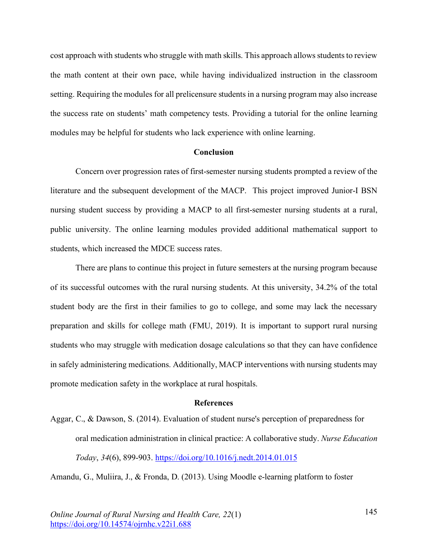cost approach with students who struggle with math skills. This approach allows students to review the math content at their own pace, while having individualized instruction in the classroom setting. Requiring the modules for all prelicensure students in a nursing program may also increase the success rate on students' math competency tests. Providing a tutorial for the online learning modules may be helpful for students who lack experience with online learning.

#### **Conclusion**

Concern over progression rates of first-semester nursing students prompted a review of the literature and the subsequent development of the MACP. This project improved Junior-I BSN nursing student success by providing a MACP to all first-semester nursing students at a rural, public university. The online learning modules provided additional mathematical support to students, which increased the MDCE success rates.

There are plans to continue this project in future semesters at the nursing program because of its successful outcomes with the rural nursing students. At this university, 34.2% of the total student body are the first in their families to go to college, and some may lack the necessary preparation and skills for college math (FMU, 2019). It is important to support rural nursing students who may struggle with medication dosage calculations so that they can have confidence in safely administering medications. Additionally, MACP interventions with nursing students may promote medication safety in the workplace at rural hospitals.

#### **References**

Aggar, C., & Dawson, S. (2014). Evaluation of student nurse's perception of preparedness for oral medication administration in clinical practice: A collaborative study. *Nurse Education Today*, *34*(6), 899-903. https://doi.org/10.1016/j.nedt.2014.01.015

Amandu, G., Muliira, J., & Fronda, D. (2013). Using Moodle e-learning platform to foster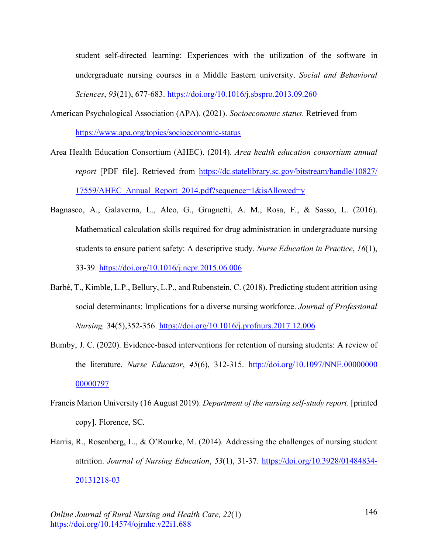student self-directed learning: Experiences with the utilization of the software in undergraduate nursing courses in a Middle Eastern university. *Social and Behavioral Sciences*, *93*(21), 677-683. https://doi.org/10.1016/j.sbspro.2013.09.260

- American Psychological Association (APA). (2021). *Socioeconomic status*. Retrieved from https://www.apa.org/topics/socioeconomic-status
- Area Health Education Consortium (AHEC). (2014). *Area health education consortium annual report* [PDF file]. Retrieved from https://dc.statelibrary.sc.gov/bitstream/handle/10827/ 17559/AHEC\_Annual\_Report\_2014.pdf?sequence=1&isAllowed=y
- Bagnasco, A., Galaverna, L., Aleo, G., Grugnetti, A. M., Rosa, F., & Sasso, L. (2016). Mathematical calculation skills required for drug administration in undergraduate nursing students to ensure patient safety: A descriptive study. *Nurse Education in Practice*, *16*(1), 33-39. https://doi.org/10.1016/j.nepr.2015.06.006
- Barbé, T., Kimble, L.P., Bellury, L.P., and Rubenstein, C. (2018). Predicting student attrition using social determinants: Implications for a diverse nursing workforce. *Journal of Professional Nursing,* 34(5),352-356. https://doi.org/10.1016/j.profnurs.2017.12.006
- Bumby, J. C. (2020). Evidence-based interventions for retention of nursing students: A review of the literature. *Nurse Educator*, *45*(6), 312-315. http://doi.org/10.1097/NNE.00000000 00000797
- Francis Marion University (16 August 2019). *Department of the nursing self-study report*. [printed copy]. Florence, SC.
- Harris, R., Rosenberg, L., & O'Rourke, M. (2014). Addressing the challenges of nursing student attrition. *Journal of Nursing Education*, *53*(1), 31-37. https://doi.org/10.3928/01484834- 20131218-03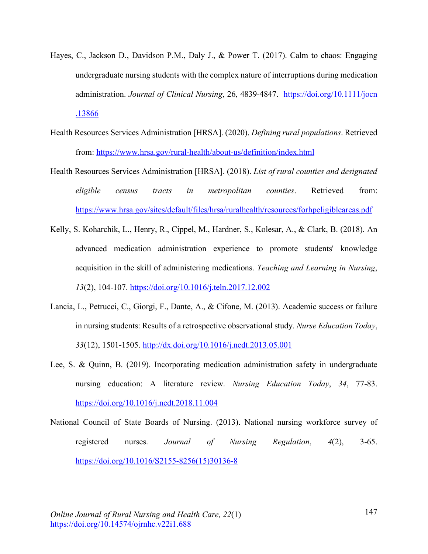- Hayes, C., Jackson D., Davidson P.M., Daly J., & Power T. (2017). Calm to chaos: Engaging undergraduate nursing students with the complex nature of interruptions during medication administration. *Journal of Clinical Nursing*, 26, 4839-4847. https://doi.org/10.1111/jocn .13866
- Health Resources Services Administration [HRSA]. (2020). *Defining rural populations*. Retrieved from: https://www.hrsa.gov/rural-health/about-us/definition/index.html
- Health Resources Services Administration [HRSA]. (2018). *List of rural counties and designated eligible census tracts in metropolitan counties*. Retrieved from: https://www.hrsa.gov/sites/default/files/hrsa/ruralhealth/resources/forhpeligibleareas.pdf
- Kelly, S. Koharchik, L., Henry, R., Cippel, M., Hardner, S., Kolesar, A., & Clark, B. (2018). An advanced medication administration experience to promote students' knowledge acquisition in the skill of administering medications. *Teaching and Learning in Nursing*, *13*(2), 104-107. https://doi.org/10.1016/j.teln.2017.12.002
- Lancia, L., Petrucci, C., Giorgi, F., Dante, A., & Cifone, M. (2013). Academic success or failure in nursing students: Results of a retrospective observational study. *Nurse Education Today*, *33*(12), 1501-1505. http://dx.doi.org/10.1016/j.nedt.2013.05.001
- Lee, S. & Quinn, B. (2019). Incorporating medication administration safety in undergraduate nursing education: A literature review. *Nursing Education Today*, *34*, 77-83. https://doi.org/10.1016/j.nedt.2018.11.004
- National Council of State Boards of Nursing. (2013). National nursing workforce survey of registered nurses. *Journal of Nursing Regulation*, *4*(2), 3-65. https://doi.org/10.1016/S2155-8256(15)30136-8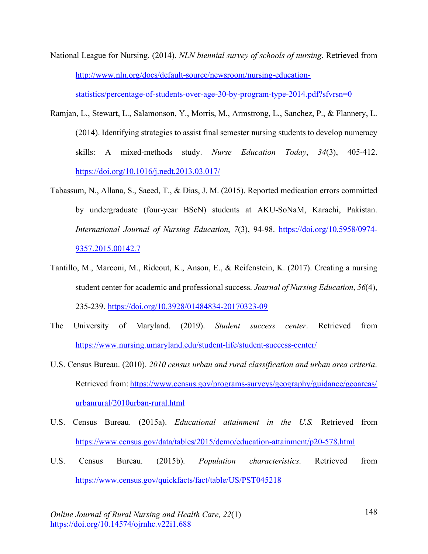National League for Nursing. (2014). *NLN biennial survey of schools of nursing*. Retrieved from http://www.nln.org/docs/default-source/newsroom/nursing-education-

statistics/percentage-of-students-over-age-30-by-program-type-2014.pdf?sfvrsn=0

- Ramjan, L., Stewart, L., Salamonson, Y., Morris, M., Armstrong, L., Sanchez, P., & Flannery, L. (2014). Identifying strategies to assist final semester nursing students to develop numeracy skills: A mixed-methods study. *Nurse Education Today*, *34*(3), 405-412. https://doi.org/10.1016/j.nedt.2013.03.017/
- Tabassum, N., Allana, S., Saeed, T., & Dias, J. M. (2015). Reported medication errors committed by undergraduate (four-year BScN) students at AKU-SoNaM, Karachi, Pakistan. *International Journal of Nursing Education*, *7*(3), 94-98. https://doi.org/10.5958/0974- 9357.2015.00142.7
- Tantillo, M., Marconi, M., Rideout, K., Anson, E., & Reifenstein, K. (2017). Creating a nursing student center for academic and professional success. *Journal of Nursing Education*, *56*(4), 235-239. https://doi.org/10.3928/01484834-20170323-09
- The University of Maryland. (2019). *Student success center*. Retrieved from https://www.nursing.umaryland.edu/student-life/student-success-center/
- U.S. Census Bureau. (2010). *2010 census urban and rural classification and urban area criteria*. Retrieved from: https://www.census.gov/programs-surveys/geography/guidance/geoareas/ urbanrural/2010urban-rural.html
- U.S. Census Bureau. (2015a). *Educational attainment in the U.S.* Retrieved from https://www.census.gov/data/tables/2015/demo/education-attainment/p20-578.html
- U.S. Census Bureau. (2015b). *Population characteristics*. Retrieved from https://www.census.gov/quickfacts/fact/table/US/PST045218